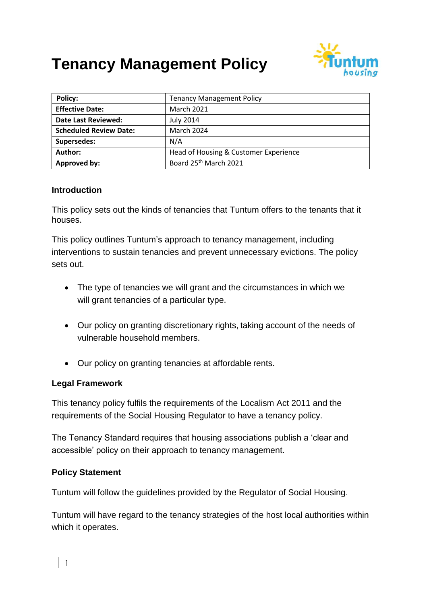# **Tenancy Management Policy**



| Policy:                       | <b>Tenancy Management Policy</b>      |  |
|-------------------------------|---------------------------------------|--|
| <b>Effective Date:</b>        | <b>March 2021</b>                     |  |
| Date Last Reviewed:           | <b>July 2014</b>                      |  |
| <b>Scheduled Review Date:</b> | March 2024                            |  |
| Supersedes:                   | N/A                                   |  |
| Author:                       | Head of Housing & Customer Experience |  |
| Approved by:                  | Board 25 <sup>th</sup> March 2021     |  |

#### **Introduction**

This policy sets out the kinds of tenancies that Tuntum offers to the tenants that it houses.

This policy outlines Tuntum's approach to tenancy management, including interventions to sustain tenancies and prevent unnecessary evictions. The policy sets out.

- The type of tenancies we will grant and the circumstances in which we will grant tenancies of a particular type.
- Our policy on granting discretionary rights, taking account of the needs of vulnerable household members.
- Our policy on granting tenancies at affordable rents.

## **Legal Framework**

This tenancy policy fulfils the requirements of the Localism Act 2011 and the requirements of the Social Housing Regulator to have a tenancy policy.

The Tenancy Standard requires that housing associations publish a 'clear and accessible' policy on their approach to tenancy management.

## **Policy Statement**

Tuntum will follow the guidelines provided by the Regulator of Social Housing.

Tuntum will have regard to the tenancy strategies of the host local authorities within which it operates.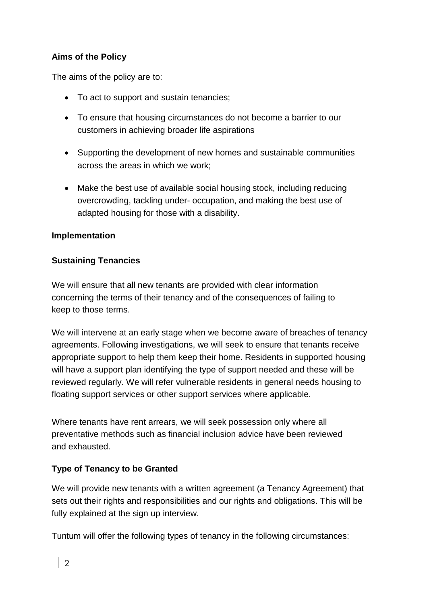# **Aims of the Policy**

The aims of the policy are to:

- To act to support and sustain tenancies;
- To ensure that housing circumstances do not become a barrier to our customers in achieving broader life aspirations
- Supporting the development of new homes and sustainable communities across the areas in which we work;
- Make the best use of available social housing stock, including reducing overcrowding, tackling under- occupation, and making the best use of adapted housing for those with a disability.

## **Implementation**

## **Sustaining Tenancies**

We will ensure that all new tenants are provided with clear information concerning the terms of their tenancy and of the consequences of failing to keep to those terms.

We will intervene at an early stage when we become aware of breaches of tenancy agreements. Following investigations, we will seek to ensure that tenants receive appropriate support to help them keep their home. Residents in supported housing will have a support plan identifying the type of support needed and these will be reviewed regularly. We will refer vulnerable residents in general needs housing to floating support services or other support services where applicable.

Where tenants have rent arrears, we will seek possession only where all preventative methods such as financial inclusion advice have been reviewed and exhausted.

# **Type of Tenancy to be Granted**

We will provide new tenants with a written agreement (a Tenancy Agreement) that sets out their rights and responsibilities and our rights and obligations. This will be fully explained at the sign up interview.

Tuntum will offer the following types of tenancy in the following circumstances: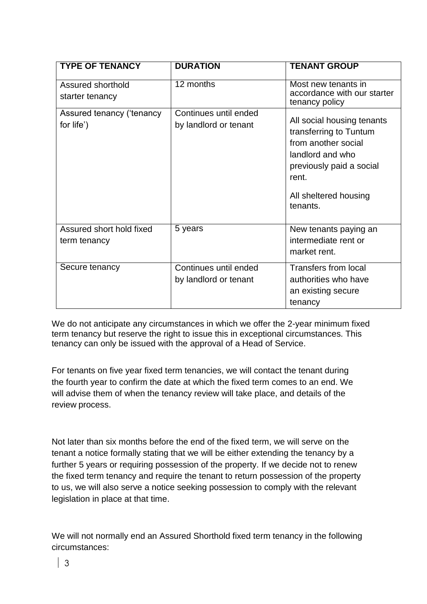| <b>TYPE OF TENANCY</b>                   | <b>DURATION</b>                                | <b>TENANT GROUP</b>                                                                                                                                                       |
|------------------------------------------|------------------------------------------------|---------------------------------------------------------------------------------------------------------------------------------------------------------------------------|
| Assured shorthold<br>starter tenancy     | 12 months                                      | Most new tenants in<br>accordance with our starter<br>tenancy policy                                                                                                      |
| Assured tenancy ('tenancy<br>for life')  | Continues until ended<br>by landlord or tenant | All social housing tenants<br>transferring to Tuntum<br>from another social<br>landlord and who<br>previously paid a social<br>rent.<br>All sheltered housing<br>tenants. |
| Assured short hold fixed<br>term tenancy | 5 years                                        | New tenants paying an<br>intermediate rent or<br>market rent.                                                                                                             |
| Secure tenancy                           | Continues until ended<br>by landlord or tenant | Transfers from local<br>authorities who have<br>an existing secure<br>tenancy                                                                                             |

We do not anticipate any circumstances in which we offer the 2-year minimum fixed term tenancy but reserve the right to issue this in exceptional circumstances. This tenancy can only be issued with the approval of a Head of Service.

For tenants on five year fixed term tenancies, we will contact the tenant during the fourth year to confirm the date at which the fixed term comes to an end. We will advise them of when the tenancy review will take place, and details of the review process.

Not later than six months before the end of the fixed term, we will serve on the tenant a notice formally stating that we will be either extending the tenancy by a further 5 years or requiring possession of the property. If we decide not to renew the fixed term tenancy and require the tenant to return possession of the property to us, we will also serve a notice seeking possession to comply with the relevant legislation in place at that time.

We will not normally end an Assured Shorthold fixed term tenancy in the following circumstances: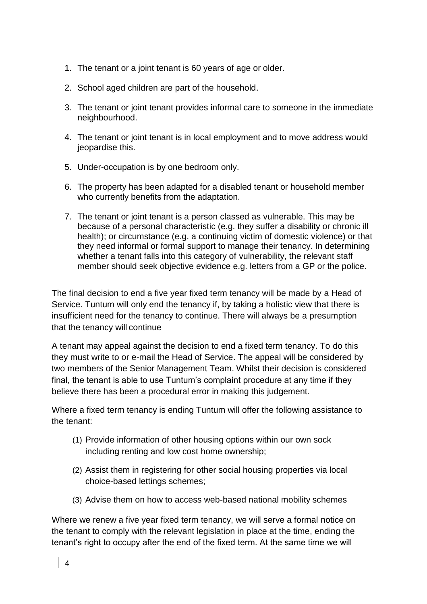- 1. The tenant or a joint tenant is 60 years of age or older.
- 2. School aged children are part of the household.
- 3. The tenant or joint tenant provides informal care to someone in the immediate neighbourhood.
- 4. The tenant or joint tenant is in local employment and to move address would jeopardise this.
- 5. Under-occupation is by one bedroom only.
- 6. The property has been adapted for a disabled tenant or household member who currently benefits from the adaptation.
- 7. The tenant or joint tenant is a person classed as vulnerable. This may be because of a personal characteristic (e.g. they suffer a disability or chronic ill health); or circumstance (e.g. a continuing victim of domestic violence) or that they need informal or formal support to manage their tenancy. In determining whether a tenant falls into this category of vulnerability, the relevant staff member should seek objective evidence e.g. letters from a GP or the police.

The final decision to end a five year fixed term tenancy will be made by a Head of Service. Tuntum will only end the tenancy if, by taking a holistic view that there is insufficient need for the tenancy to continue. There will always be a presumption that the tenancy will continue

A tenant may appeal against the decision to end a fixed term tenancy. To do this they must write to or e-mail the Head of Service. The appeal will be considered by two members of the Senior Management Team. Whilst their decision is considered final, the tenant is able to use Tuntum's complaint procedure at any time if they believe there has been a procedural error in making this judgement.

Where a fixed term tenancy is ending Tuntum will offer the following assistance to the tenant:

- (1) Provide information of other housing options within our own sock including renting and low cost home ownership;
- (2) Assist them in registering for other social housing properties via local choice-based lettings schemes;
- (3) Advise them on how to access web-based national mobility schemes

Where we renew a five year fixed term tenancy, we will serve a formal notice on the tenant to comply with the relevant legislation in place at the time, ending the tenant's right to occupy after the end of the fixed term. At the same time we will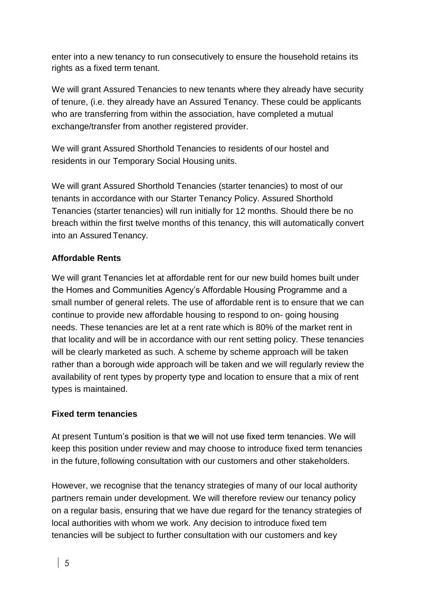enter into a new tenancy to run consecutively to ensure the household retains its rights as a fixed term tenant.

We will grant Assured Tenancies to new tenants where they already have security of tenure, (i.e. they already have an Assured Tenancy. These could be applicants who are transferring from within the association, have completed a mutual exchange/transfer from another registered provider.

We will grant Assured Shorthold Tenancies to residents of our hostel and residents in our Temporary Social Housing units.

We will grant Assured Shorthold Tenancies (starter tenancies) to most of our tenants in accordance with our Starter Tenancy Policy. Assured Shorthold Tenancies (starter tenancies) will run initially for 12 months. Should there be no breach within the first twelve months of this tenancy, this will automatically convert into an Assured Tenancy.

## **Affordable Rents**

We will grant Tenancies let at affordable rent for our new build homes built under the Homes and Communities Agency's Affordable Housing Programme and a small number of general relets. The use of affordable rent is to ensure that we can continue to provide new affordable housing to respond to on- going housing needs. These tenancies are let at a rent rate which is 80% of the market rent in that locality and will be in accordance with our rent setting policy. These tenancies will be clearly marketed as such. A scheme by scheme approach will be taken rather than a borough wide approach will be taken and we will regularly review the availability of rent types by property type and location to ensure that a mix of rent types is maintained.

## **Fixed term tenancies**

At present Tuntum's position is that we will not use fixed term tenancies. We will keep this position under review and may choose to introduce fixed term tenancies in the future, following consultation with our customers and other stakeholders.

However, we recognise that the tenancy strategies of many of our local authority partners remain under development. We will therefore review our tenancy policy on a regular basis, ensuring that we have due regard for the tenancy strategies of local authorities with whom we work. Any decision to introduce fixed tem tenancies will be subject to further consultation with our customers and key